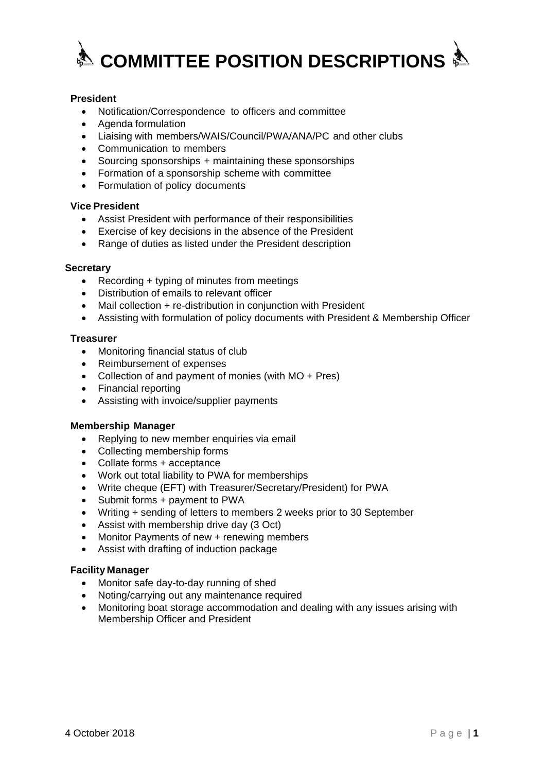

# **President**

- Notification/Correspondence to officers and committee
- Agenda formulation
- Liaising with members/WAIS/Council/PWA/ANA/PC and other clubs
- Communication to members
- Sourcing sponsorships + maintaining these sponsorships
- Formation of a sponsorship scheme with committee
- Formulation of policy documents

## **Vice President**

- Assist President with performance of their responsibilities
- Exercise of key decisions in the absence of the President
- Range of duties as listed under the President description

### **Secretary**

- Recording + typing of minutes from meetings
- Distribution of emails to relevant officer
- Mail collection + re-distribution in conjunction with President
- Assisting with formulation of policy documents with President & Membership Officer

#### **Treasurer**

- Monitoring financial status of club
- Reimbursement of expenses
- Collection of and payment of monies (with MO + Pres)
- Financial reporting
- Assisting with invoice/supplier payments

#### **Membership Manager**

- Replying to new member enquiries via email
- Collecting membership forms
- Collate forms + acceptance
- Work out total liability to PWA for memberships
- Write cheque (EFT) with Treasurer/Secretary/President) for PWA
- Submit forms + payment to PWA
- Writing + sending of letters to members 2 weeks prior to 30 September
- Assist with membership drive day (3 Oct)
- Monitor Payments of new + renewing members
- Assist with drafting of induction package

#### **Facility Manager**

- Monitor safe day-to-day running of shed
- Noting/carrying out any maintenance required
- Monitoring boat storage accommodation and dealing with any issues arising with Membership Officer and President